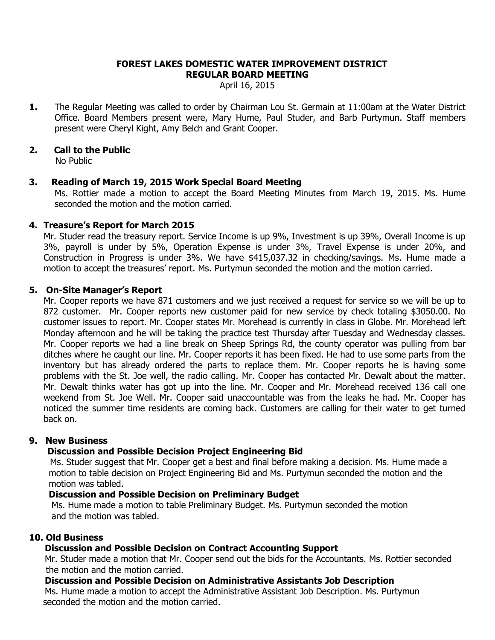#### **FOREST LAKES DOMESTIC WATER IMPROVEMENT DISTRICT REGULAR BOARD MEETING**

April 16, 2015

**1.** The Regular Meeting was called to order by Chairman Lou St. Germain at 11:00am at the Water District Office. Board Members present were, Mary Hume, Paul Studer, and Barb Purtymun. Staff members present were Cheryl Kight, Amy Belch and Grant Cooper.

# **2. Call to the Public**

No Public

# **3. Reading of March 19, 2015 Work Special Board Meeting**

Ms. Rottier made a motion to accept the Board Meeting Minutes from March 19, 2015. Ms. Hume seconded the motion and the motion carried.

## **4. Treasure's Report for March 2015**

Mr. Studer read the treasury report. Service Income is up 9%, Investment is up 39%, Overall Income is up 3%, payroll is under by 5%, Operation Expense is under 3%, Travel Expense is under 20%, and Construction in Progress is under 3%. We have \$415,037.32 in checking/savings. Ms. Hume made a motion to accept the treasures' report. Ms. Purtymun seconded the motion and the motion carried.

## **5. On-Site Manager's Report**

Mr. Cooper reports we have 871 customers and we just received a request for service so we will be up to 872 customer. Mr. Cooper reports new customer paid for new service by check totaling \$3050.00. No customer issues to report. Mr. Cooper states Mr. Morehead is currently in class in Globe. Mr. Morehead left Monday afternoon and he will be taking the practice test Thursday after Tuesday and Wednesday classes. Mr. Cooper reports we had a line break on Sheep Springs Rd, the county operator was pulling from bar ditches where he caught our line. Mr. Cooper reports it has been fixed. He had to use some parts from the inventory but has already ordered the parts to replace them. Mr. Cooper reports he is having some problems with the St. Joe well, the radio calling. Mr. Cooper has contacted Mr. Dewalt about the matter. Mr. Dewalt thinks water has got up into the line. Mr. Cooper and Mr. Morehead received 136 call one weekend from St. Joe Well. Mr. Cooper said unaccountable was from the leaks he had. Mr. Cooper has noticed the summer time residents are coming back. Customers are calling for their water to get turned back on.

# **9. New Business**

# **Discussion and Possible Decision Project Engineering Bid**

Ms. Studer suggest that Mr. Cooper get a best and final before making a decision. Ms. Hume made a motion to table decision on Project Engineering Bid and Ms. Purtymun seconded the motion and the motion was tabled.

## **Discussion and Possible Decision on Preliminary Budget**

 Ms. Hume made a motion to table Preliminary Budget. Ms. Purtymun seconded the motion and the motion was tabled.

## **10. Old Business**

# **Discussion and Possible Decision on Contract Accounting Support**

Mr. Studer made a motion that Mr. Cooper send out the bids for the Accountants. Ms. Rottier seconded the motion and the motion carried.

## **Discussion and Possible Decision on Administrative Assistants Job Description**

Ms. Hume made a motion to accept the Administrative Assistant Job Description. Ms. Purtymun seconded the motion and the motion carried.